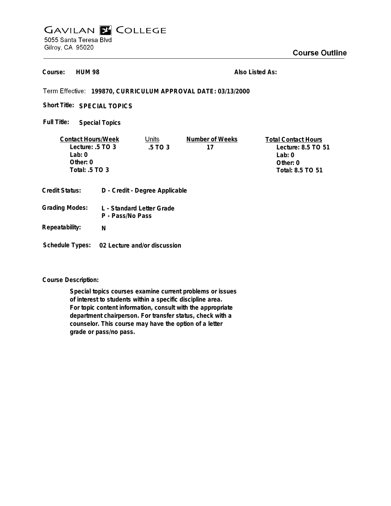## **GAVILAN E COLLEGE** 5055 Santa Teresa Blvd Gilroy, CA 95020

**HUM 98 Course:**

**Also Listed As:**

## **199870, CURRICULUM APPROVAL DATE: 03/13/2000**

Short Title: SPECIAL TOPICS

**Special Topics Full Title:**

| <b>Contact Hours/Week</b>               |                                               | Units                          | Number of Weeks  | <b>Total Contact Hours</b> |
|-----------------------------------------|-----------------------------------------------|--------------------------------|------------------|----------------------------|
| Lecture: $.5 \text{ TO } 3$             |                                               | .5 TO 3                        | 17               | Lecture: 8.5 TO 51         |
| Lab: 0                                  |                                               |                                |                  | Lab: $0$                   |
| Other: $0$                              |                                               |                                |                  | Other: $0$                 |
| Total: $.5$ TO 3                        |                                               |                                | Total: 8.5 TO 51 |                            |
| Credit Status:<br><b>Grading Modes:</b> | L - Standard Letter Grade<br>P - Pass/No Pass | D - Credit - Degree Applicable |                  |                            |

**Schedule Types: 02 Lecture and/or discussion**

**N**

**Course Description:**

**Repeatability:**

**Special topics courses examine current problems or issues of interest to students within a specific discipline area. For topic content information, consult with the appropriate department chairperson. For transfer status, check with a counselor. This course may have the option of a letter grade or pass/no pass.**